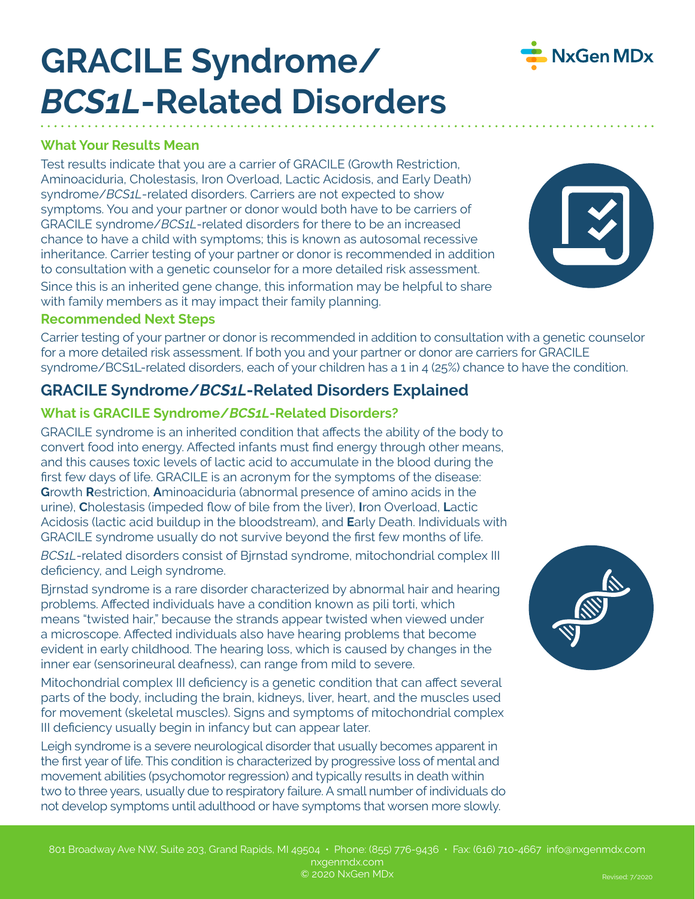### syndrome/*BCS1L*-related disorders. Carriers are not expected to show symptoms. You and your partner or donor would both have to be carriers of GRACILE syndrome/*BCS1L*-related disorders for there to be an increased chance to have a child with symptoms; this is known as autosomal recessive inheritance. Carrier testing of your partner or donor is recommended in addition to consultation with a genetic counselor for a more detailed risk assessment.

Since this is an inherited gene change, this information may be helpful to share with family members as it may impact their family planning.

# **Recommended Next Steps**

**What Your Results Mean**

Carrier testing of your partner or donor is recommended in addition to consultation with a genetic counselor for a more detailed risk assessment. If both you and your partner or donor are carriers for GRACILE syndrome/BCS1L-related disorders, each of your children has a 1 in 4 (25%) chance to have the condition.

# **GRACILE Syndrome/***BCS1L***-Related Disorders Explained**

# **What is GRACILE Syndrome/***BCS1L***-Related Disorders?**

**GRACILE Syndrome/**

*BCS1L***-Related Disorders**

Test results indicate that you are a carrier of GRACILE (Growth Restriction, Aminoaciduria, Cholestasis, Iron Overload, Lactic Acidosis, and Early Death)

GRACILE syndrome is an inherited condition that affects the ability of the body to convert food into energy. Affected infants must find energy through other means, and this causes toxic levels of lactic acid to accumulate in the blood during the first few days of life. GRACILE is an acronym for the symptoms of the disease: **G**rowth **R**estriction, **A**minoaciduria (abnormal presence of amino acids in the urine), **C**holestasis (impeded flow of bile from the liver), **I**ron Overload, **L**actic Acidosis (lactic acid buildup in the bloodstream), and **E**arly Death. Individuals with GRACILE syndrome usually do not survive beyond the first few months of life.

*BCS1L-related disorders consist of Bjrnstad syndrome, mitochondrial complex III* deficiency, and Leigh syndrome.

Bjrnstad syndrome is a rare disorder characterized by abnormal hair and hearing problems. Affected individuals have a condition known as pili torti, which means "twisted hair," because the strands appear twisted when viewed under a microscope. Affected individuals also have hearing problems that become evident in early childhood. The hearing loss, which is caused by changes in the inner ear (sensorineural deafness), can range from mild to severe.

Mitochondrial complex III deficiency is a genetic condition that can affect several parts of the body, including the brain, kidneys, liver, heart, and the muscles used for movement (skeletal muscles). Signs and symptoms of mitochondrial complex III deficiency usually begin in infancy but can appear later.

Leigh syndrome is a severe neurological disorder that usually becomes apparent in the first year of life. This condition is characterized by progressive loss of mental and movement abilities (psychomotor regression) and typically results in death within two to three years, usually due to respiratory failure. A small number of individuals do not develop symptoms until adulthood or have symptoms that worsen more slowly.